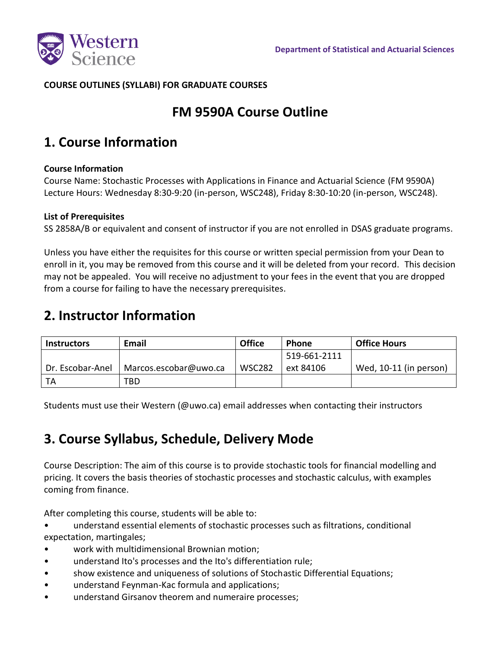

### **COURSE OUTLINES (SYLLABI) FOR GRADUATE COURSES**

## **FM 9590A Course Outline**

## **1. Course Information**

#### **Course Information**

Course Name: Stochastic Processes with Applications in Finance and Actuarial Science (FM 9590A) Lecture Hours: Wednesday 8:30-9:20 (in-person, WSC248), Friday 8:30-10:20 (in-person, WSC248).

#### **List of Prerequisites**

SS 2858A/B or equivalent and consent of instructor if you are not enrolled in DSAS graduate programs.

Unless you have either the requisites for this course or written special permission from your Dean to enroll in it, you may be removed from this course and it will be deleted from your record. This decision may not be appealed. You will receive no adjustment to your fees in the event that you are dropped from a course for failing to have the necessary prerequisites.

### **2. Instructor Information**

| <b>Instructors</b> | <b>Email</b>          | <b>Office</b> | <b>Phone</b> | <b>Office Hours</b>    |
|--------------------|-----------------------|---------------|--------------|------------------------|
|                    |                       |               | 519-661-2111 |                        |
| Dr. Escobar-Anel   | Marcos.escobar@uwo.ca | <b>WSC282</b> | ext 84106    | Wed, 10-11 (in person) |
| TA                 | TBD                   |               |              |                        |

Students must use their Western (@uwo.ca) email addresses when contacting their instructors

## **3. Course Syllabus, Schedule, Delivery Mode**

Course Description: The aim of this course is to provide stochastic tools for financial modelling and pricing. It covers the basis theories of stochastic processes and stochastic calculus, with examples coming from finance.

After completing this course, students will be able to:

- understand essential elements of stochastic processes such as filtrations, conditional expectation, martingales;
- work with multidimensional Brownian motion;
- understand Ito's processes and the Ito's differentiation rule;
- show existence and uniqueness of solutions of Stochastic Differential Equations;
- understand Feynman-Kac formula and applications;
- understand Girsanov theorem and numeraire processes;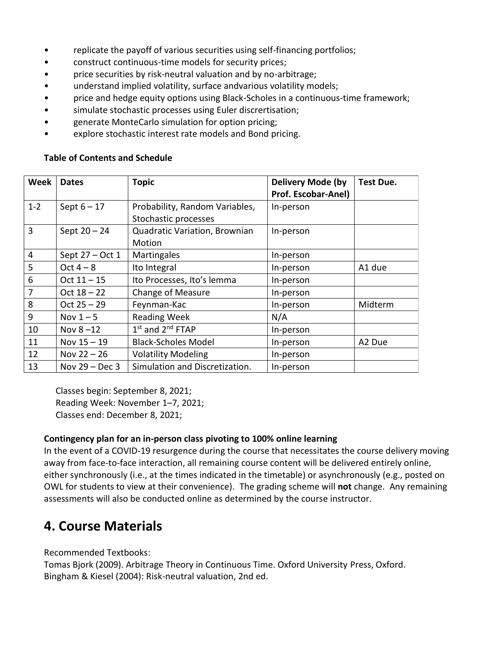- replicate the payoff of various securities using self-financing portfolios;
- construct continuous-time models for security prices;
- price securities by risk-neutral valuation and by no-arbitrage;
- understand implied volatility, surface andvarious volatility models;
- price and hedge equity options using Black-Scholes in a continuous-time framework;
- simulate stochastic processes using Euler discrertisation;
- generate MonteCarlo simulation for option pricing;
- explore stochastic interest rate models and Bond pricing.

#### **Table of Contents and Schedule**

| Week    | <b>Dates</b>     | <b>Topic</b>                   | <b>Delivery Mode (by</b> | <b>Test Due.</b> |
|---------|------------------|--------------------------------|--------------------------|------------------|
|         |                  |                                | Prof. Escobar-Anel)      |                  |
| $1 - 2$ | Sept $6 - 17$    | Probability, Random Variables, | In-person                |                  |
|         |                  | Stochastic processes           |                          |                  |
| 3       | Sept $20 - 24$   | Quadratic Variation, Brownian  | In-person                |                  |
|         |                  | Motion                         |                          |                  |
| 4       | Sept 27 - Oct 1  | Martingales                    | In-person                |                  |
| 5       | Oct $4-8$        | Ito Integral                   | In-person                | A1 due           |
| 6       | $Oct 11 - 15$    | Ito Processes, Ito's lemma     | In-person                |                  |
| 7       | Oct $18 - 22$    | <b>Change of Measure</b>       | In-person                |                  |
| 8       | $Oct 25 - 29$    | Feynman-Kac                    | In-person                | Midterm          |
| 9       | Nov $1 - 5$      | <b>Reading Week</b>            | N/A                      |                  |
| 10      | Nov $8-12$       | 1st and 2 <sup>nd</sup> FTAP   | In-person                |                  |
| 11      | Nov $15 - 19$    | <b>Black-Scholes Model</b>     | In-person                | A2 Due           |
| 12      | Nov $22 - 26$    | <b>Volatility Modeling</b>     | In-person                |                  |
| 13      | Nov $29 - Dec 3$ | Simulation and Discretization. | In-person                |                  |

Classes begin: September 8, 2021; Reading Week: November 1–7, 2021; Classes end: December 8, 2021;

#### **Contingency plan for an in-person class pivoting to 100% online learning**

In the event of a COVID-19 resurgence during the course that necessitates the course delivery moving away from face-to-face interaction, all remaining course content will be delivered entirely online, either synchronously (i.e., at the times indicated in the timetable) or asynchronously (e.g., posted on OWL for students to view at their convenience). The grading scheme will **not** change. Any remaining assessments will also be conducted online as determined by the course instructor.

### **4. Course Materials**

Recommended Textbooks:

Tomas Bjork (2009). Arbitrage Theory in Continuous Time. Oxford University Press, Oxford. Bingham & Kiesel (2004): Risk-neutral valuation, 2nd ed.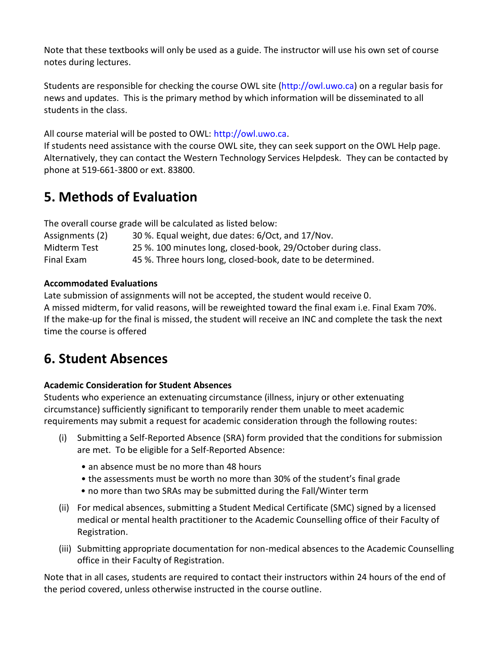Note that these textbooks will only be used as a guide. The instructor will use his own set of course notes during lectures.

Students are responsible for checking the course OWL site (http://owl.uwo.ca) on a regular basis for news and updates. This is the primary method by which information will be disseminated to all students in the class.

All course material will be posted to OWL: http://owl.uwo.ca.

If students need assistance with the course OWL site, they can seek support on the OWL Help page. Alternatively, they can contact the Western Technology Services Helpdesk. They can be contacted by phone at 519-661-3800 or ext. 83800.

## **5. Methods of Evaluation**

The overall course grade will be calculated as listed below:

| Assignments (2) | 30 %. Equal weight, due dates: 6/Oct, and 17/Nov.             |
|-----------------|---------------------------------------------------------------|
| Midterm Test    | 25 %. 100 minutes long, closed-book, 29/October during class. |
| Final Exam      | 45 %. Three hours long, closed-book, date to be determined.   |

### **Accommodated Evaluations**

Late submission of assignments will not be accepted, the student would receive 0. A missed midterm, for valid reasons, will be reweighted toward the final exam i.e. Final Exam 70%. If the make-up for the final is missed, the student will receive an INC and complete the task the next time the course is offered

## **6. Student Absences**

### **Academic Consideration for Student Absences**

Students who experience an extenuating circumstance (illness, injury or other extenuating circumstance) sufficiently significant to temporarily render them unable to meet academic requirements may submit a request for academic consideration through the following routes:

- (i) Submitting a Self-Reported Absence (SRA) form provided that the conditions for submission are met. To be eligible for a Self-Reported Absence:
	- an absence must be no more than 48 hours
	- the assessments must be worth no more than 30% of the student's final grade
	- no more than two SRAs may be submitted during the Fall/Winter term
- (ii) For medical absences, submitting a Student Medical Certificate (SMC) signed by a licensed medical or mental health practitioner to the Academic Counselling office of their Faculty of Registration.
- (iii) Submitting appropriate documentation for non-medical absences to the Academic Counselling office in their Faculty of Registration.

Note that in all cases, students are required to contact their instructors within 24 hours of the end of the period covered, unless otherwise instructed in the course outline.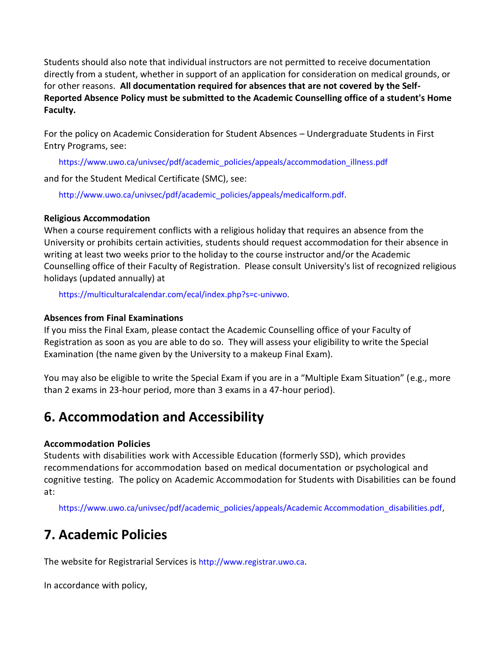Students should also note that individual instructors are not permitted to receive documentation directly from a student, whether in support of an application for consideration on medical grounds, or for other reasons. **All documentation required for absences that are not covered by the Self-Reported Absence Policy must be submitted to the Academic Counselling office of a student's Home Faculty.**

For the policy on Academic Consideration for Student Absences – Undergraduate Students in First Entry Programs, see:

https://www.uwo.ca/univsec/pdf/academic\_policies/appeals/accommodation\_illness.pdf

and for the Student Medical Certificate (SMC), see:

http://www.uwo.ca/univsec/pdf/academic\_policies/appeals/medicalform.pdf.

### **Religious Accommodation**

When a course requirement conflicts with a religious holiday that requires an absence from the University or prohibits certain activities, students should request accommodation for their absence in writing at least two weeks prior to the holiday to the course instructor and/or the Academic Counselling office of their Faculty of Registration. Please consult University's list of recognized religious holidays (updated annually) at

https://multiculturalcalendar.com/ecal/index.php?s=c-univwo.

### **Absences from Final Examinations**

If you miss the Final Exam, please contact the Academic Counselling office of your Faculty of Registration as soon as you are able to do so. They will assess your eligibility to write the Special Examination (the name given by the University to a makeup Final Exam).

You may also be eligible to write the Special Exam if you are in a "Multiple Exam Situation" (e.g., more than 2 exams in 23-hour period, more than 3 exams in a 47-hour period).

# **6. Accommodation and Accessibility**

### **Accommodation Policies**

Students with disabilities work with Accessible Education (formerly SSD), which provides recommendations for accommodation based on medical documentation or psychological and cognitive testing. The policy on Academic Accommodation for Students with Disabilities can be found at:

https://www.uwo.ca/univsec/pdf/academic\_policies/appeals/Academic Accommodation\_disabilities.pdf,

# **7. Academic Policies**

The website for Registrarial Services is http://www.registrar.uwo.ca.

In accordance with policy,